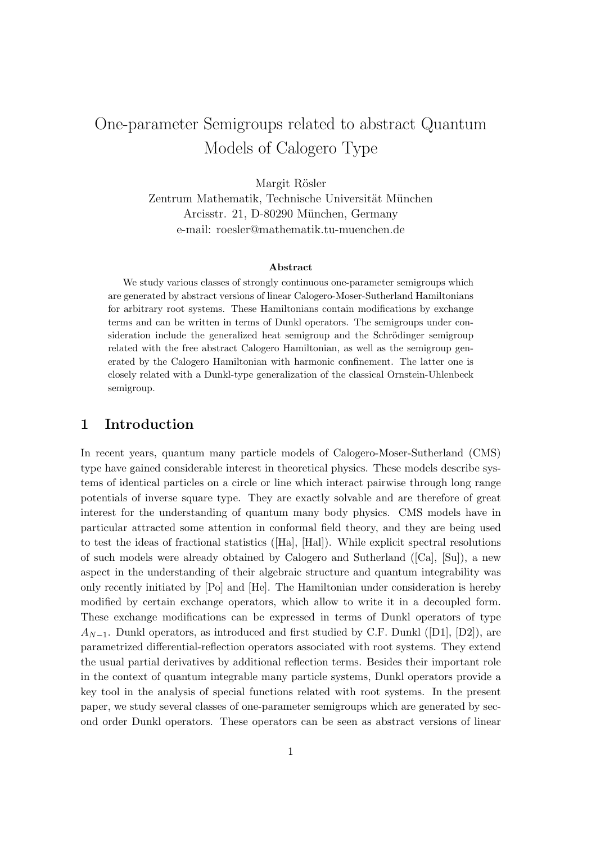# One-parameter Semigroups related to abstract Quantum Models of Calogero Type

Margit Rösler Zentrum Mathematik, Technische Universität München Arcisstr. 21, D-80290 München, Germany e-mail: roesler@mathematik.tu-muenchen.de

#### Abstract

We study various classes of strongly continuous one-parameter semigroups which are generated by abstract versions of linear Calogero-Moser-Sutherland Hamiltonians for arbitrary root systems. These Hamiltonians contain modifications by exchange terms and can be written in terms of Dunkl operators. The semigroups under consideration include the generalized heat semigroup and the Schrödinger semigroup related with the free abstract Calogero Hamiltonian, as well as the semigroup generated by the Calogero Hamiltonian with harmonic confinement. The latter one is closely related with a Dunkl-type generalization of the classical Ornstein-Uhlenbeck semigroup.

#### 1 Introduction

In recent years, quantum many particle models of Calogero-Moser-Sutherland (CMS) type have gained considerable interest in theoretical physics. These models describe systems of identical particles on a circle or line which interact pairwise through long range potentials of inverse square type. They are exactly solvable and are therefore of great interest for the understanding of quantum many body physics. CMS models have in particular attracted some attention in conformal field theory, and they are being used to test the ideas of fractional statistics ([Ha], [Hal]). While explicit spectral resolutions of such models were already obtained by Calogero and Sutherland ([Ca], [Su]), a new aspect in the understanding of their algebraic structure and quantum integrability was only recently initiated by [Po] and [He]. The Hamiltonian under consideration is hereby modified by certain exchange operators, which allow to write it in a decoupled form. These exchange modifications can be expressed in terms of Dunkl operators of type  $A_{N-1}$ . Dunkl operators, as introduced and first studied by C.F. Dunkl ([D1], [D2]), are parametrized differential-reflection operators associated with root systems. They extend the usual partial derivatives by additional reflection terms. Besides their important role in the context of quantum integrable many particle systems, Dunkl operators provide a key tool in the analysis of special functions related with root systems. In the present paper, we study several classes of one-parameter semigroups which are generated by second order Dunkl operators. These operators can be seen as abstract versions of linear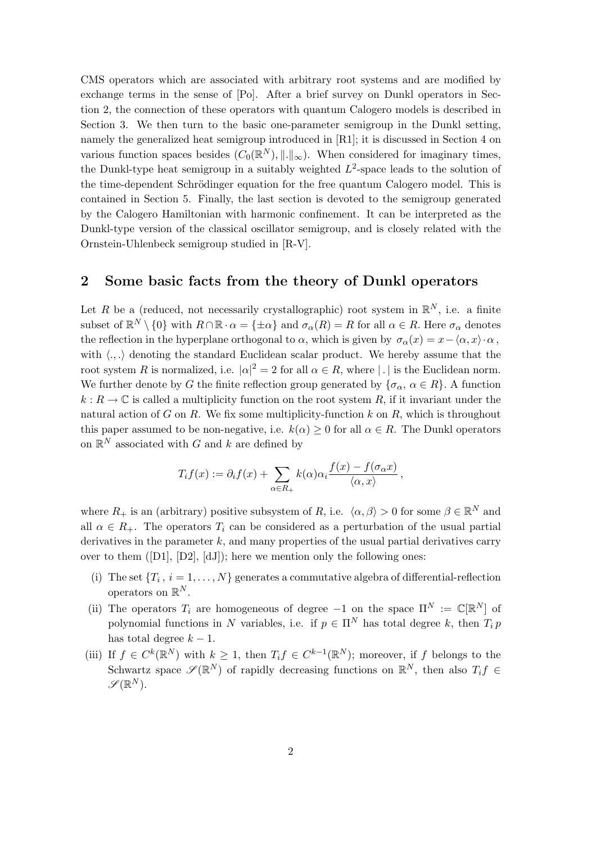CMS operators which are associated with arbitrary root systems and are modified by exchange terms in the sense of [Po]. After a brief survey on Dunkl operators in Section 2, the connection of these operators with quantum Calogero models is described in Section 3. We then turn to the basic one-parameter semigroup in the Dunkl setting, namely the generalized heat semigroup introduced in [R1]; it is discussed in Section 4 on various function spaces besides  $(C_0(\mathbb{R}^N),\|\cdot\|_{\infty})$ . When considered for imaginary times, the Dunkl-type heat semigroup in a suitably weighted  $L^2$ -space leads to the solution of the time-dependent Schrödinger equation for the free quantum Calogero model. This is contained in Section 5. Finally, the last section is devoted to the semigroup generated by the Calogero Hamiltonian with harmonic confinement. It can be interpreted as the Dunkl-type version of the classical oscillator semigroup, and is closely related with the Ornstein-Uhlenbeck semigroup studied in [R-V].

### 2 Some basic facts from the theory of Dunkl operators

Let R be a (reduced, not necessarily crystallographic) root system in  $\mathbb{R}^N$ , i.e. a finite subset of  $\mathbb{R}^N \setminus \{0\}$  with  $R \cap \mathbb{R} \cdot \alpha = \{\pm \alpha\}$  and  $\sigma_\alpha(R) = R$  for all  $\alpha \in R$ . Here  $\sigma_\alpha$  denotes the reflection in the hyperplane orthogonal to  $\alpha$ , which is given by  $\sigma_{\alpha}(x) = x - \langle \alpha, x \rangle \cdot \alpha$ , with  $\langle ., .\rangle$  denoting the standard Euclidean scalar product. We hereby assume that the root system R is normalized, i.e.  $|\alpha|^2 = 2$  for all  $\alpha \in R$ , where | | is the Euclidean norm. We further denote by G the finite reflection group generated by  $\{\sigma_{\alpha}, \alpha \in R\}$ . A function  $k: R \to \mathbb{C}$  is called a multiplicity function on the root system R, if it invariant under the natural action of  $G$  on  $R$ . We fix some multiplicity-function  $k$  on  $R$ , which is throughout this paper assumed to be non-negative, i.e.  $k(\alpha) \geq 0$  for all  $\alpha \in R$ . The Dunkl operators on  $\mathbb{R}^N$  associated with G and k are defined by

$$
T_i f(x) := \partial_i f(x) + \sum_{\alpha \in R_+} k(\alpha) \alpha_i \frac{f(x) - f(\sigma_\alpha x)}{\langle \alpha, x \rangle},
$$

where  $R_+$  is an (arbitrary) positive subsystem of R, i.e.  $\langle \alpha, \beta \rangle > 0$  for some  $\beta \in \mathbb{R}^N$  and all  $\alpha \in R_+$ . The operators  $T_i$  can be considered as a perturbation of the usual partial derivatives in the parameter  $k$ , and many properties of the usual partial derivatives carry over to them  $([D1], [D2], [dJ])$ ; here we mention only the following ones:

- (i) The set  $\{T_i, i = 1, \ldots, N\}$  generates a commutative algebra of differential-reflection operators on  $\mathbb{R}^N$ .
- (ii) The operators  $T_i$  are homogeneous of degree -1 on the space  $\Pi^N := \mathbb{C}[\mathbb{R}^N]$  of polynomial functions in N variables, i.e. if  $p \in \Pi^N$  has total degree k, then  $T_i p$ has total degree  $k - 1$ .
- (iii) If  $f \in C^k(\mathbb{R}^N)$  with  $k \geq 1$ , then  $T_i f \in C^{k-1}(\mathbb{R}^N)$ ; moreover, if f belongs to the Schwartz space  $\mathscr{S}(\mathbb{R}^N)$  of rapidly decreasing functions on  $\mathbb{R}^N$ , then also  $T_i f \in$  $\mathscr{S}(\mathbb{R}^N).$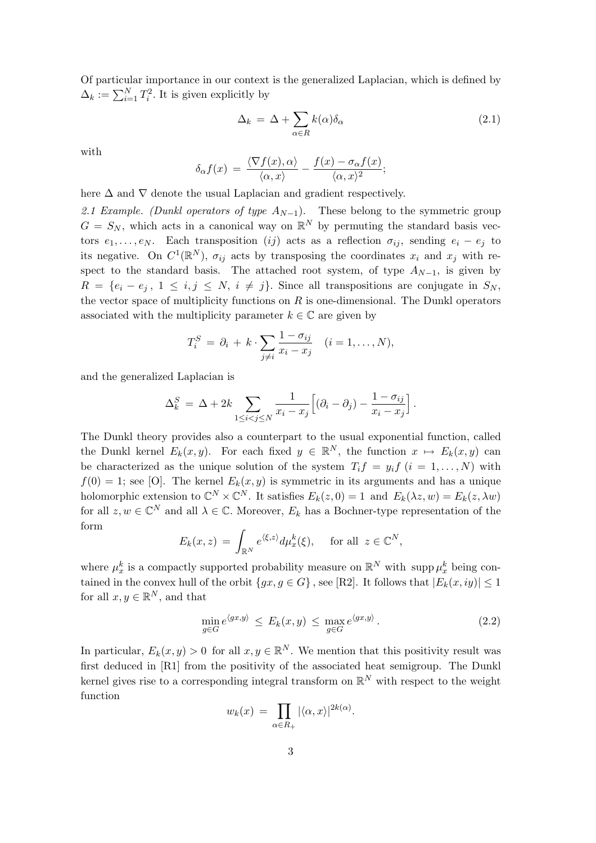Of particular importance in our context is the generalized Laplacian, which is defined by  $\Delta_k := \sum_{i=1}^N T_i^2$ . It is given explicitly by

$$
\Delta_k = \Delta + \sum_{\alpha \in R} k(\alpha) \delta_\alpha \tag{2.1}
$$

with

$$
\delta_{\alpha} f(x) = \frac{\langle \nabla f(x), \alpha \rangle}{\langle \alpha, x \rangle} - \frac{f(x) - \sigma_{\alpha} f(x)}{\langle \alpha, x \rangle^2};
$$

here  $\Delta$  and  $\nabla$  denote the usual Laplacian and gradient respectively.

2.1 Example. (Dunkl operators of type  $A_{N-1}$ ). These belong to the symmetric group  $G = S_N$ , which acts in a canonical way on  $\mathbb{R}^N$  by permuting the standard basis vectors  $e_1, \ldots, e_N$ . Each transposition (ij) acts as a reflection  $\sigma_{ij}$ , sending  $e_i - e_j$  to its negative. On  $C^1(\mathbb{R}^N)$ ,  $\sigma_{ij}$  acts by transposing the coordinates  $x_i$  and  $x_j$  with respect to the standard basis. The attached root system, of type  $A_{N-1}$ , is given by  $R = \{e_i - e_j, 1 \leq i, j \leq N, i \neq j\}.$  Since all transpositions are conjugate in  $S_N$ , the vector space of multiplicity functions on  $R$  is one-dimensional. The Dunkl operators associated with the multiplicity parameter  $k \in \mathbb{C}$  are given by

$$
T_i^S = \partial_i + k \cdot \sum_{j \neq i} \frac{1 - \sigma_{ij}}{x_i - x_j} \quad (i = 1, \dots, N),
$$

and the generalized Laplacian is

$$
\Delta_k^S = \Delta + 2k \sum_{1 \leq i < j \leq N} \frac{1}{x_i - x_j} \Big[ (\partial_i - \partial_j) - \frac{1 - \sigma_{ij}}{x_i - x_j} \Big].
$$

The Dunkl theory provides also a counterpart to the usual exponential function, called the Dunkl kernel  $E_k(x, y)$ . For each fixed  $y \in \mathbb{R}^N$ , the function  $x \mapsto E_k(x, y)$  can be characterized as the unique solution of the system  $T_i f = y_i f$   $(i = 1, ..., N)$  with  $f(0) = 1$ ; see [O]. The kernel  $E_k(x, y)$  is symmetric in its arguments and has a unique holomorphic extension to  $\mathbb{C}^N \times \mathbb{C}^N$ . It satisfies  $E_k(z, 0) = 1$  and  $E_k(\lambda z, w) = E_k(z, \lambda w)$ for all  $z, w \in \mathbb{C}^N$  and all  $\lambda \in \mathbb{C}$ . Moreover,  $E_k$  has a Bochner-type representation of the form

$$
E_k(x, z) = \int_{\mathbb{R}^N} e^{\langle \xi, z \rangle} d\mu_x^k(\xi), \quad \text{ for all } z \in \mathbb{C}^N,
$$

where  $\mu_x^k$  is a compactly supported probability measure on  $\mathbb{R}^N$  with supp  $\mu_x^k$  being contained in the convex hull of the orbit  $\{gx, g \in G\}$ , see [R2]. It follows that  $|E_k(x, iy)| \leq 1$ for all  $x, y \in \mathbb{R}^N$ , and that

$$
\min_{g \in G} e^{\langle gx, y \rangle} \le E_k(x, y) \le \max_{g \in G} e^{\langle gx, y \rangle}.
$$
\n(2.2)

In particular,  $E_k(x, y) > 0$  for all  $x, y \in \mathbb{R}^N$ . We mention that this positivity result was first deduced in [R1] from the positivity of the associated heat semigroup. The Dunkl kernel gives rise to a corresponding integral transform on  $\mathbb{R}^N$  with respect to the weight function

$$
w_k(x) = \prod_{\alpha \in R_+} |\langle \alpha, x \rangle|^{2k(\alpha)}.
$$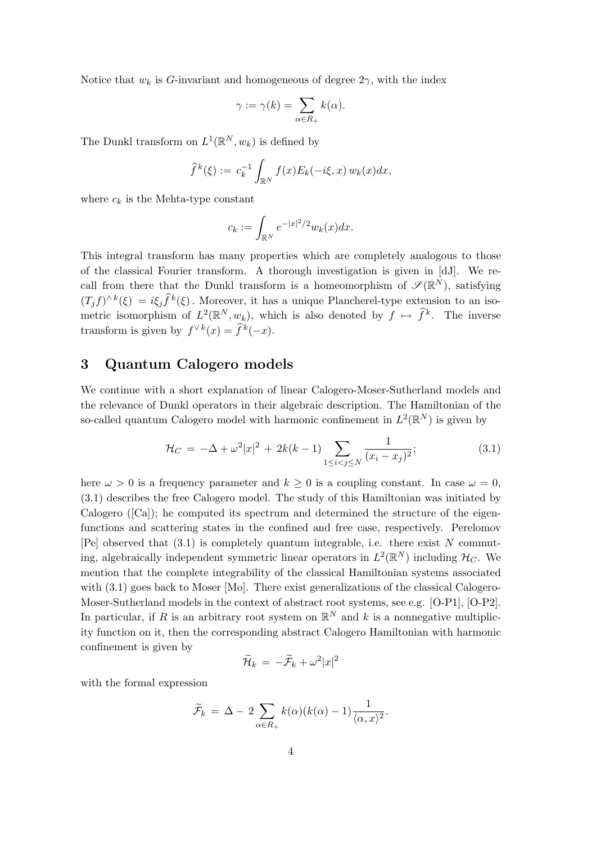Notice that  $w_k$  is G-invariant and homogeneous of degree  $2\gamma$ , with the index

$$
\gamma := \gamma(k) = \sum_{\alpha \in R_+} k(\alpha).
$$

The Dunkl transform on  $L^1(\mathbb{R}^N, w_k)$  is defined by

$$
\widehat{f}^k(\xi) := c_k^{-1} \int_{\mathbb{R}^N} f(x) E_k(-i\xi, x) w_k(x) dx,
$$

where  $c_k$  is the Mehta-type constant

$$
c_k := \int_{\mathbb{R}^N} e^{-|x|^2/2} w_k(x) dx.
$$

This integral transform has many properties which are completely analogous to those of the classical Fourier transform. A thorough investigation is given in [dJ]. We recall from there that the Dunkl transform is a homeomorphism of  $\mathscr{S}(\mathbb{R}^N)$ , satisfying  $(T_j f)^{\wedge k}(\xi) = i \xi_j \widehat{f}^k(\xi)$ . Moreover, it has a unique Plancherel-type extension to an isometric isomorphism of  $L^2(\mathbb{R}^N, w_k)$ , which is also denoted by  $f \mapsto \hat{f}^k$ . The inverse transform is given by  $f^{\vee k}(x) = \hat{f}^k(-x)$ .

#### 3 Quantum Calogero models

We continue with a short explanation of linear Calogero-Moser-Sutherland models and the relevance of Dunkl operators in their algebraic description. The Hamiltonian of the so-called quantum Calogero model with harmonic confinement in  $L^2(\mathbb{R}^N)$  is given by

$$
\mathcal{H}_C = -\Delta + \omega^2 |x|^2 + 2k(k-1) \sum_{1 \le i < j \le N} \frac{1}{(x_i - x_j)^2};\tag{3.1}
$$

here  $\omega > 0$  is a frequency parameter and  $k \geq 0$  is a coupling constant. In case  $\omega = 0$ , (3.1) describes the free Calogero model. The study of this Hamiltonian was initiated by Calogero ([Ca]); he computed its spectrum and determined the structure of the eigenfunctions and scattering states in the confined and free case, respectively. Perelomov [Pe] observed that  $(3.1)$  is completely quantum integrable, i.e. there exist N commuting, algebraically independent symmetric linear operators in  $L^2(\mathbb{R}^N)$  including  $\mathcal{H}_C$ . We mention that the complete integrability of the classical Hamiltonian systems associated with  $(3.1)$  goes back to Moser [Mo]. There exist generalizations of the classical Calogero-Moser-Sutherland models in the context of abstract root systems, see e.g. [O-P1], [O-P2]. In particular, if R is an arbitrary root system on  $\mathbb{R}^N$  and k is a nonnegative multiplicity function on it, then the corresponding abstract Calogero Hamiltonian with harmonic confinement is given by

$$
\widetilde{\mathcal{H}}_k \,=\, - \widetilde{\mathcal{F}}_k + \omega^2 |x|^2
$$

with the formal expression

$$
\widetilde{\mathcal{F}}_k = \Delta - 2 \sum_{\alpha \in R_+} k(\alpha)(k(\alpha) - 1) \frac{1}{\langle \alpha, x \rangle^2}.
$$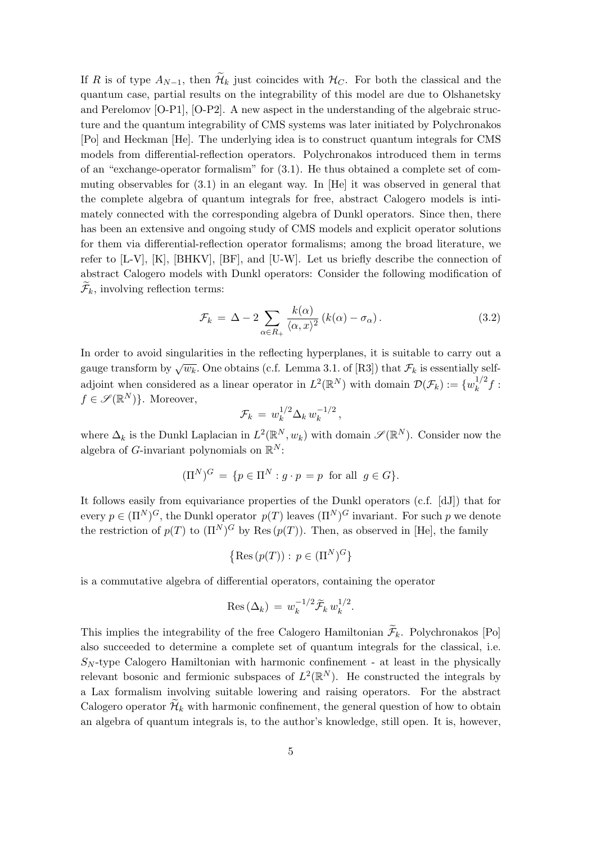If R is of type  $A_{N-1}$ , then  $\widetilde{\mathcal{H}}_k$  just coincides with  $\mathcal{H}_C$ . For both the classical and the quantum case, partial results on the integrability of this model are due to Olshanetsky and Perelomov [O-P1], [O-P2]. A new aspect in the understanding of the algebraic structure and the quantum integrability of CMS systems was later initiated by Polychronakos [Po] and Heckman [He]. The underlying idea is to construct quantum integrals for CMS models from differential-reflection operators. Polychronakos introduced them in terms of an "exchange-operator formalism" for (3.1). He thus obtained a complete set of commuting observables for (3.1) in an elegant way. In [He] it was observed in general that the complete algebra of quantum integrals for free, abstract Calogero models is intimately connected with the corresponding algebra of Dunkl operators. Since then, there has been an extensive and ongoing study of CMS models and explicit operator solutions for them via differential-reflection operator formalisms; among the broad literature, we refer to [L-V], [K], [BHKV], [BF], and [U-W]. Let us briefly describe the connection of abstract Calogero models with Dunkl operators: Consider the following modification of  $\mathcal{F}_k$ , involving reflection terms:

$$
\mathcal{F}_k = \Delta - 2 \sum_{\alpha \in R_+} \frac{k(\alpha)}{\langle \alpha, x \rangle^2} \left( k(\alpha) - \sigma_\alpha \right). \tag{3.2}
$$

In order to avoid singularities in the reflecting hyperplanes, it is suitable to carry out a gauge transform by  $\sqrt{w_k}$ . One obtains (c.f. Lemma 3.1. of [R3]) that  $\mathcal{F}_k$  is essentially selfadjoint when considered as a linear operator in  $L^2(\mathbb{R}^N)$  with domain  $\mathcal{D}(\mathcal{F}_k) := \{w_k^{1/2}\}$  $\frac{1}{k}$ f :  $f \in \mathscr{S}(\mathbb{R}^N)$ . Moreover,

$$
\mathcal{F}_k \,=\, w_k^{1/2} \Delta_k \, w_k^{-1/2} \,,
$$

where  $\Delta_k$  is the Dunkl Laplacian in  $L^2(\mathbb{R}^N, w_k)$  with domain  $\mathscr{S}(\mathbb{R}^N)$ . Consider now the algebra of G-invariant polynomials on  $\mathbb{R}^N$ :

$$
(\Pi^N)^G = \{ p \in \Pi^N : g \cdot p = p \text{ for all } g \in G \}.
$$

It follows easily from equivariance properties of the Dunkl operators (c.f. [dJ]) that for every  $p \in (\Pi^N)^G$ , the Dunkl operator  $p(T)$  leaves  $(\Pi^N)^G$  invariant. For such p we denote the restriction of  $p(T)$  to  $(\Pi^N)^G$  by Res  $(p(T))$ . Then, as observed in [He], the family

$$
\left\{\operatorname{Res}\left(p(T)\right): \, p \in (\Pi^N)^G\right\}
$$

is a commutative algebra of differential operators, containing the operator

$$
\operatorname{Res} \left( \Delta_k \right) \, = \, w_k^{-1/2} \widetilde{\mathcal{F}}_k \, w_k^{1/2}.
$$

This implies the integrability of the free Calogero Hamiltonian  $\widetilde{\mathcal{F}}_k$ . Polychronakos [Po] also succeeded to determine a complete set of quantum integrals for the classical, i.e.  $S_N$ -type Calogero Hamiltonian with harmonic confinement - at least in the physically relevant bosonic and fermionic subspaces of  $L^2(\mathbb{R}^N)$ . He constructed the integrals by a Lax formalism involving suitable lowering and raising operators. For the abstract Calogero operator  $\mathcal{H}_k$  with harmonic confinement, the general question of how to obtain an algebra of quantum integrals is, to the author's knowledge, still open. It is, however,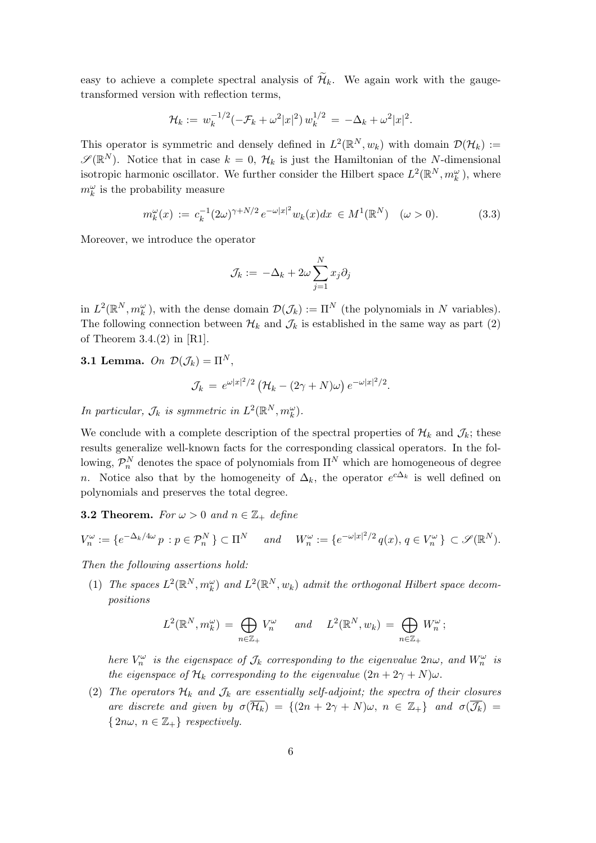easy to achieve a complete spectral analysis of  $\widetilde{\mathcal{H}}_k$ . We again work with the gaugetransformed version with reflection terms,

$$
\mathcal{H}_k := w_k^{-1/2} (-\mathcal{F}_k + \omega^2 |x|^2) w_k^{1/2} = -\Delta_k + \omega^2 |x|^2.
$$

This operator is symmetric and densely defined in  $L^2(\mathbb{R}^N, w_k)$  with domain  $\mathcal{D}(\mathcal{H}_k) :=$  $\mathscr{S}(\mathbb{R}^N)$ . Notice that in case  $k=0$ ,  $\mathcal{H}_k$  is just the Hamiltonian of the N-dimensional isotropic harmonic oscillator. We further consider the Hilbert space  $L^2(\mathbb{R}^N, m_k^{\omega})$ , where  $m_k^{\omega}$  is the probability measure

$$
m_k^{\omega}(x) := c_k^{-1} (2\omega)^{\gamma + N/2} e^{-\omega |x|^2} w_k(x) dx \in M^1(\mathbb{R}^N) \quad (\omega > 0).
$$
 (3.3)

Moreover, we introduce the operator

$$
\mathcal{J}_k := -\Delta_k + 2\omega \sum_{j=1}^N x_j \partial_j
$$

in  $L^2(\mathbb{R}^N, m_k^{\omega})$ , with the dense domain  $\mathcal{D}(\mathcal{J}_k) := \Pi^N$  (the polynomials in N variables). The following connection between  $\mathcal{H}_k$  and  $\mathcal{J}_k$  is established in the same way as part (2) of Theorem 3.4. $(2)$  in [R1].

**3.1 Lemma.** On  $\mathcal{D}(\mathcal{J}_k) = \Pi^N$ ,

$$
\mathcal{J}_k = e^{\omega |x|^2/2} \left( \mathcal{H}_k - (2\gamma + N)\omega \right) e^{-\omega |x|^2/2}.
$$

In particular,  $\mathcal{J}_k$  is symmetric in  $L^2(\mathbb{R}^N, m_k^{\omega})$ .

We conclude with a complete description of the spectral properties of  $\mathcal{H}_k$  and  $\mathcal{J}_k$ ; these results generalize well-known facts for the corresponding classical operators. In the following,  $\mathcal{P}_n^N$  denotes the space of polynomials from  $\Pi^N$  which are homogeneous of degree n. Notice also that by the homogeneity of  $\Delta_k$ , the operator  $e^{c\Delta_k}$  is well defined on polynomials and preserves the total degree.

**3.2 Theorem.** For  $\omega > 0$  and  $n \in \mathbb{Z}_+$  define

$$
V_n^{\omega} := \{ e^{-\Delta_k/4\omega} p : p \in \mathcal{P}_n^N \} \subset \Pi^N \quad \text{and} \quad W_n^{\omega} := \{ e^{-\omega |x|^2/2} q(x), q \in V_n^{\omega} \} \subset \mathcal{S}(\mathbb{R}^N).
$$

Then the following assertions hold:

(1) The spaces  $L^2(\mathbb{R}^N, m_k^{\omega})$  and  $L^2(\mathbb{R}^N, w_k)$  admit the orthogonal Hilbert space decompositions

$$
L^{2}(\mathbb{R}^{N}, m_{k}^{\omega}) = \bigoplus_{n \in \mathbb{Z}_{+}} V_{n}^{\omega} \quad \text{and} \quad L^{2}(\mathbb{R}^{N}, w_{k}) = \bigoplus_{n \in \mathbb{Z}_{+}} W_{n}^{\omega};
$$

here  $V_n^{\omega}$  is the eigenspace of  $\mathcal{J}_k$  corresponding to the eigenvalue  $2n\omega$ , and  $W_n^{\omega}$  is the eigenspace of  $\mathcal{H}_k$  corresponding to the eigenvalue  $(2n + 2\gamma + N)\omega$ .

(2) The operators  $\mathcal{H}_k$  and  $\mathcal{J}_k$  are essentially self-adjoint; the spectra of their closures are discrete and given by  $\sigma(\overline{\mathcal{H}_k}) = \{(2n + 2\gamma + N)\omega, n \in \mathbb{Z}_+\}$  and  $\sigma(\overline{\mathcal{J}_k}) =$  $\{2n\omega, n \in \mathbb{Z}_+\}$  respectively.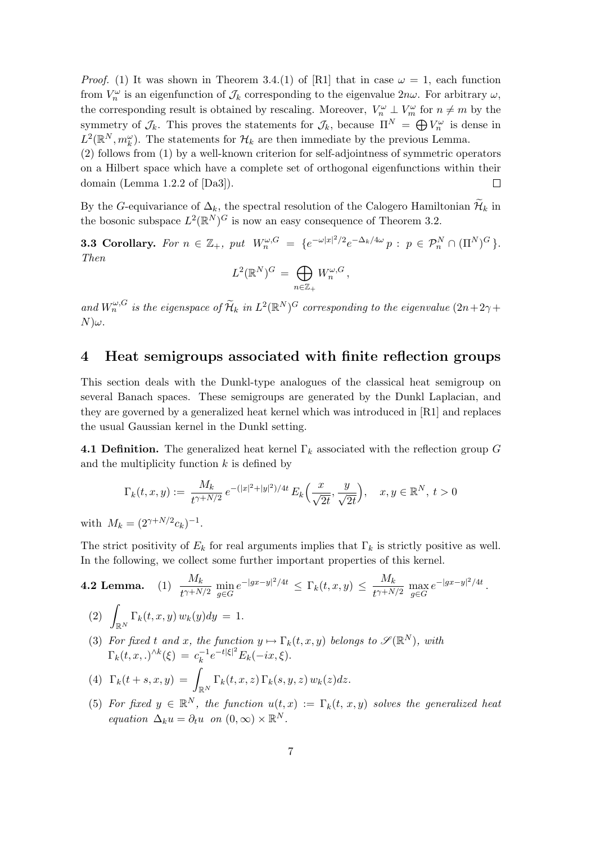*Proof.* (1) It was shown in Theorem 3.4.(1) of [R1] that in case  $\omega = 1$ , each function from  $V_n^{\omega}$  is an eigenfunction of  $\mathcal{J}_k$  corresponding to the eigenvalue  $2n\omega$ . For arbitrary  $\omega$ , the corresponding result is obtained by rescaling. Moreover,  $V_n^{\omega} \perp V_m^{\omega}$  for  $n \neq m$  by the symmetry of  $\mathcal{J}_k$ . This proves the statements for  $\mathcal{J}_k$ , because  $\Pi^N = \bigoplus V_n^{\omega}$  is dense in  $L^2(\mathbb{R}^N, m_k^{\omega})$ . The statements for  $\mathcal{H}_k$  are then immediate by the previous Lemma.

(2) follows from (1) by a well-known criterion for self-adjointness of symmetric operators on a Hilbert space which have a complete set of orthogonal eigenfunctions within their domain (Lemma 1.2.2 of [Da3]).  $\Box$ 

By the G-equivariance of  $\Delta_k$ , the spectral resolution of the Calogero Hamiltonian  $\mathcal{H}_k$  in the bosonic subspace  $L^2(\mathbb{R}^N)^G$  is now an easy consequence of Theorem 3.2.

**3.3 Corollary.** For  $n \in \mathbb{Z}_+$ , put  $W_n^{\omega, G} = \{e^{-\omega |x|^2/2}e^{-\Delta_k/4\omega} p : p \in \mathcal{P}_n^N \cap (\Pi^N)^G\}$ . Then  $\sim$ 

$$
L^2(\mathbb{R}^N)^G = \bigoplus_{n \in \mathbb{Z}_+} W_n^{\omega, G},
$$

and  $W_n^{\omega, G}$  is the eigenspace of  $\widetilde{\mathcal{H}}_k$  in  $L^2(\mathbb{R}^N)^G$  corresponding to the eigenvalue  $(2n+2\gamma +$  $N)\omega$ .

#### 4 Heat semigroups associated with finite reflection groups

This section deals with the Dunkl-type analogues of the classical heat semigroup on several Banach spaces. These semigroups are generated by the Dunkl Laplacian, and they are governed by a generalized heat kernel which was introduced in [R1] and replaces the usual Gaussian kernel in the Dunkl setting.

**4.1 Definition.** The generalized heat kernel  $\Gamma_k$  associated with the reflection group G and the multiplicity function  $k$  is defined by

$$
\Gamma_k(t, x, y) := \frac{M_k}{t^{\gamma + N/2}} e^{-\left(|x|^2 + |y|^2\right)/4t} E_k\left(\frac{x}{\sqrt{2t}}, \frac{y}{\sqrt{2t}}\right), \quad x, y \in \mathbb{R}^N, \ t > 0
$$

with  $M_k = (2^{\gamma + N/2} c_k)^{-1}$ .

The strict positivity of  $E_k$  for real arguments implies that  $\Gamma_k$  is strictly positive as well. In the following, we collect some further important properties of this kernel.

**4.2 Lemma.** (1) 
$$
\frac{M_k}{t^{\gamma + N/2}} \min_{g \in G} e^{-|gx - y|^2/4t} \leq \Gamma_k(t, x, y) \leq \frac{M_k}{t^{\gamma + N/2}} \max_{g \in G} e^{-|gx - y|^2/4t}.
$$

(2) 
$$
\int_{\mathbb{R}^N} \Gamma_k(t, x, y) w_k(y) dy = 1.
$$

(3) For fixed t and x, the function  $y \mapsto \Gamma_k(t, x, y)$  belongs to  $\mathscr{S}(\mathbb{R}^N)$ , with  $\Gamma_k(t, x, .)^{\wedge k}(\xi) = c_k^{-1}$  $e^{-t|\xi|^2} E_k(-ix,\xi).$ 

(4) 
$$
\Gamma_k(t+s,x,y) = \int_{\mathbb{R}^N} \Gamma_k(t,x,z) \Gamma_k(s,y,z) w_k(z) dz.
$$

(5) For fixed  $y \in \mathbb{R}^N$ , the function  $u(t,x) := \Gamma_k(t,x,y)$  solves the generalized heat equation  $\Delta_k u = \partial_t u$  on  $(0, \infty) \times \mathbb{R}^N$ .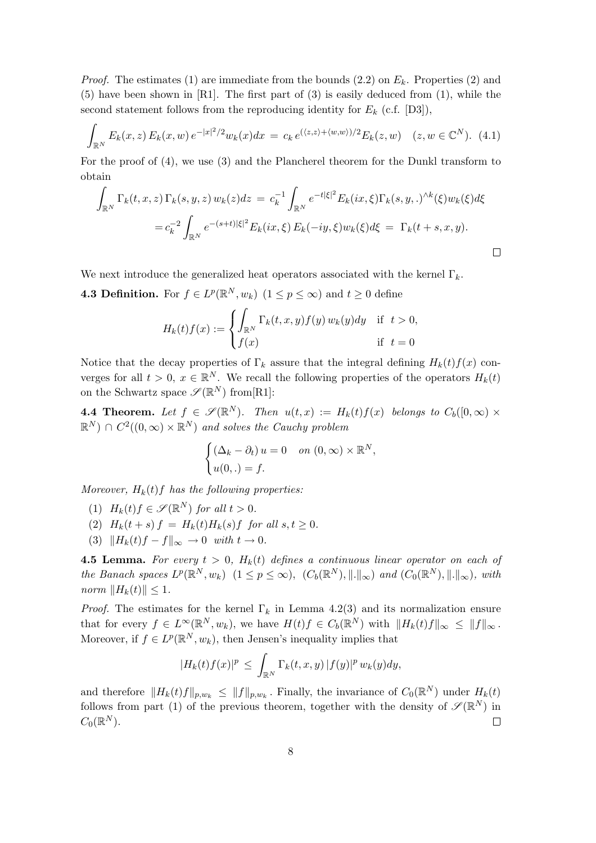*Proof.* The estimates (1) are immediate from the bounds (2.2) on  $E_k$ . Properties (2) and (5) have been shown in [R1]. The first part of (3) is easily deduced from (1), while the second statement follows from the reproducing identity for  $E_k$  (c.f. [D3]),

$$
\int_{\mathbb{R}^N} E_k(x, z) E_k(x, w) e^{-|x|^2/2} w_k(x) dx = c_k e^{(\langle z, z \rangle + \langle w, w \rangle)/2} E_k(z, w) \quad (z, w \in \mathbb{C}^N). \tag{4.1}
$$

For the proof of (4), we use (3) and the Plancherel theorem for the Dunkl transform to obtain Z

$$
\int_{\mathbb{R}^N} \Gamma_k(t, x, z) \Gamma_k(s, y, z) w_k(z) dz = c_k^{-1} \int_{\mathbb{R}^N} e^{-t|\xi|^2} E_k(ix, \xi) \Gamma_k(s, y, .)^{\wedge k}(\xi) w_k(\xi) d\xi
$$
  

$$
= c_k^{-2} \int_{\mathbb{R}^N} e^{-(s+t)|\xi|^2} E_k(ix, \xi) E_k(-iy, \xi) w_k(\xi) d\xi = \Gamma_k(t+s, x, y).
$$

We next introduce the generalized heat operators associated with the kernel  $\Gamma_k$ .

**4.3 Definition.** For  $f \in L^p(\mathbb{R}^N, w_k)$   $(1 \le p \le \infty)$  and  $t \ge 0$  define

$$
H_k(t)f(x) := \begin{cases} \int_{\mathbb{R}^N} \Gamma_k(t, x, y) f(y) \, w_k(y) dy & \text{if } t > 0, \\ f(x) & \text{if } t = 0 \end{cases}
$$

Notice that the decay properties of  $\Gamma_k$  assure that the integral defining  $H_k(t)f(x)$  converges for all  $t > 0$ ,  $x \in \mathbb{R}^N$ . We recall the following properties of the operators  $H_k(t)$ on the Schwartz space  $\mathscr{S}(\mathbb{R}^N)$  from [R1]:

**4.4 Theorem.** Let  $f \in \mathscr{S}(\mathbb{R}^N)$ . Then  $u(t,x) := H_k(t)f(x)$  belongs to  $C_b([0,\infty) \times$  $\mathbb{R}^N$ )  $\cap C^2((0,\infty) \times \mathbb{R}^N)$  and solves the Cauchy problem

$$
\begin{cases} (\Delta_k - \partial_t) u = 0 & on (0, \infty) \times \mathbb{R}^N, \\ u(0,.) = f. \end{cases}
$$

Moreover,  $H_k(t)$  f has the following properties:

- (1)  $H_k(t)f \in \mathscr{S}(\mathbb{R}^N)$  for all  $t > 0$ .
- (2)  $H_k(t + s) f = H_k(t)H_k(s) f$  for all  $s, t \ge 0$ .
- (3)  $||H_k(t)f f||_{\infty} \to 0$  with  $t \to 0$ .

**4.5 Lemma.** For every  $t > 0$ ,  $H_k(t)$  defines a continuous linear operator on each of the Banach spaces  $L^p(\mathbb{R}^N, w_k)$   $(1 \leq p \leq \infty)$ ,  $(C_b(\mathbb{R}^N), ||.||_{\infty})$  and  $(C_0(\mathbb{R}^N), ||.||_{\infty})$ , with norm  $||H_k(t)|| \leq 1$ .

*Proof.* The estimates for the kernel  $\Gamma_k$  in Lemma 4.2(3) and its normalization ensure that for every  $f \in L^{\infty}(\mathbb{R}^N, w_k)$ , we have  $H(t)f \in C_b(\mathbb{R}^N)$  with  $||H_k(t)f||_{\infty} \leq ||f||_{\infty}$ . Moreover, if  $f \in L^p(\mathbb{R}^N, w_k)$ , then Jensen's inequality implies that

$$
|H_k(t)f(x)|^p \leq \int_{\mathbb{R}^N} \Gamma_k(t,x,y) |f(y)|^p w_k(y) dy,
$$

and therefore  $||H_k(t)f||_{p,w_k} \leq ||f||_{p,w_k}$ . Finally, the invariance of  $C_0(\mathbb{R}^N)$  under  $H_k(t)$ follows from part (1) of the previous theorem, together with the density of  $\mathscr{S}(\mathbb{R}^N)$  in  $C_0(\mathbb{R}^N)$ .  $\Box$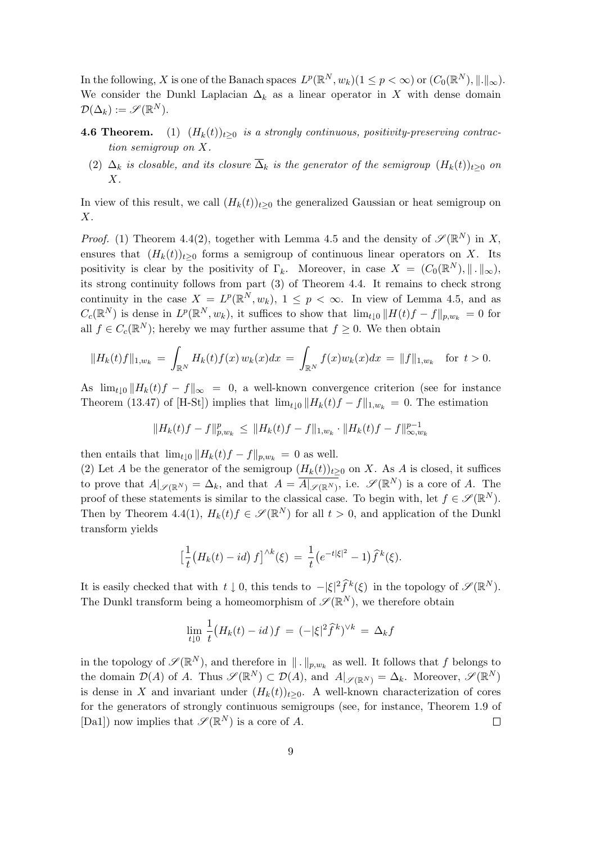In the following, X is one of the Banach spaces  $L^p(\mathbb{R}^N, w_k)$   $(1 \leq p < \infty)$  or  $(C_0(\mathbb{R}^N), \|.\|_{\infty})$ . We consider the Dunkl Laplacian  $\Delta_k$  as a linear operator in X with dense domain  $\mathcal{D}(\Delta_k) := \mathscr{S}(\mathbb{R}^N).$ 

- **4.6 Theorem.** (1)  $(H_k(t))_{t>0}$  is a strongly continuous, positivity-preserving contraction semigroup on X.
	- (2)  $\Delta_k$  is closable, and its closure  $\overline{\Delta}_k$  is the generator of the semigroup  $(H_k(t))_{t\geq 0}$  on X.

In view of this result, we call  $(H_k(t))_{t\geq 0}$  the generalized Gaussian or heat semigroup on X.

*Proof.* (1) Theorem 4.4(2), together with Lemma 4.5 and the density of  $\mathscr{S}(\mathbb{R}^{N})$  in X, ensures that  $(H_k(t))_{t>0}$  forms a semigroup of continuous linear operators on X. Its positivity is clear by the positivity of  $\Gamma_k$ . Moreover, in case  $X = (C_0(\mathbb{R}^N), \| \cdot \|_{\infty}),$ its strong continuity follows from part (3) of Theorem 4.4. It remains to check strong continuity in the case  $X = L^p(\mathbb{R}^N, w_k)$ ,  $1 \leq p < \infty$ . In view of Lemma 4.5, and as  $C_c(\mathbb{R}^N)$  is dense in  $L^p(\mathbb{R}^N, w_k)$ , it suffices to show that  $\lim_{t\downarrow 0} ||H(t)f - f||_{p,w_k} = 0$  for all  $f \in C_c(\mathbb{R}^N)$ ; hereby we may further assume that  $f \geq 0$ . We then obtain

$$
||H_k(t)f||_{1,w_k} = \int_{\mathbb{R}^N} H_k(t)f(x) w_k(x) dx = \int_{\mathbb{R}^N} f(x)w_k(x) dx = ||f||_{1,w_k} \text{ for } t > 0.
$$

As  $\lim_{t\downarrow0}||H_k(t)f - f||_{\infty} = 0$ , a well-known convergence criterion (see for instance Theorem (13.47) of [H-St]) implies that  $\lim_{t\downarrow 0} ||H_k(t)f - f||_{1,w_k} = 0$ . The estimation

$$
||H_k(t)f - f||_{p,w_k}^p \le ||H_k(t)f - f||_{1,w_k} \cdot ||H_k(t)f - f||_{\infty,w_k}^{p-1}
$$

then entails that  $\lim_{t\downarrow 0} ||H_k(t)f - f||_{p,w_k} = 0$  as well.

(2) Let A be the generator of the semigroup  $(H_k(t))_{t\geq 0}$  on X. As A is closed, it suffices to prove that  $A|_{\mathscr{S}(\mathbb{R}^N)} = \Delta_k$ , and that  $A = \overline{A|_{\mathscr{S}(\mathbb{R}^N)}}$ , i.e.  $\mathscr{S}(\mathbb{R}^N)$  is a core of A. The proof of these statements is similar to the classical case. To begin with, let  $f \in \mathscr{S}(\mathbb{R}^N)$ . Then by Theorem 4.4(1),  $H_k(t)f \in \mathscr{S}(\mathbb{R}^N)$  for all  $t > 0$ , and application of the Dunkl transform yields

$$
\left[\frac{1}{t}(H_k(t) - id) f\right]^{\wedge k}(\xi) = \frac{1}{t} \left(e^{-t|\xi|^2} - 1\right) \widehat{f}^k(\xi).
$$

It is easily checked that with  $t \downarrow 0$ , this tends to  $-|\xi|^2 \widehat{f}^k(\xi)$  in the topology of  $\mathscr{S}(\mathbb{R}^N)$ . The Dunkl transform being a homeomorphism of  $\mathscr{S}(\mathbb{R}^N)$ , we therefore obtain

$$
\lim_{t \downarrow 0} \frac{1}{t} \big( H_k(t) - id \big) f = (-|\xi|^2 \widehat{f}^k)^{\vee k} = \Delta_k f
$$

in the topology of  $\mathscr{S}(\mathbb{R}^N)$ , and therefore in  $\|\,.\,\|_{p,w_k}$  as well. It follows that f belongs to the domain  $\mathcal{D}(A)$  of A. Thus  $\mathscr{S}(\mathbb{R}^N) \subset \mathcal{D}(A)$ , and  $A|_{\mathscr{S}(\mathbb{R}^N)} = \Delta_k$ . Moreover,  $\mathscr{S}(\mathbb{R}^N)$ is dense in X and invariant under  $(H_k(t))_{t\geq0}$ . A well-known characterization of cores for the generators of strongly continuous semigroups (see, for instance, Theorem 1.9 of [Da1]) now implies that  $\mathscr{S}(\mathbb{R}^N)$  is a core of A.  $\Box$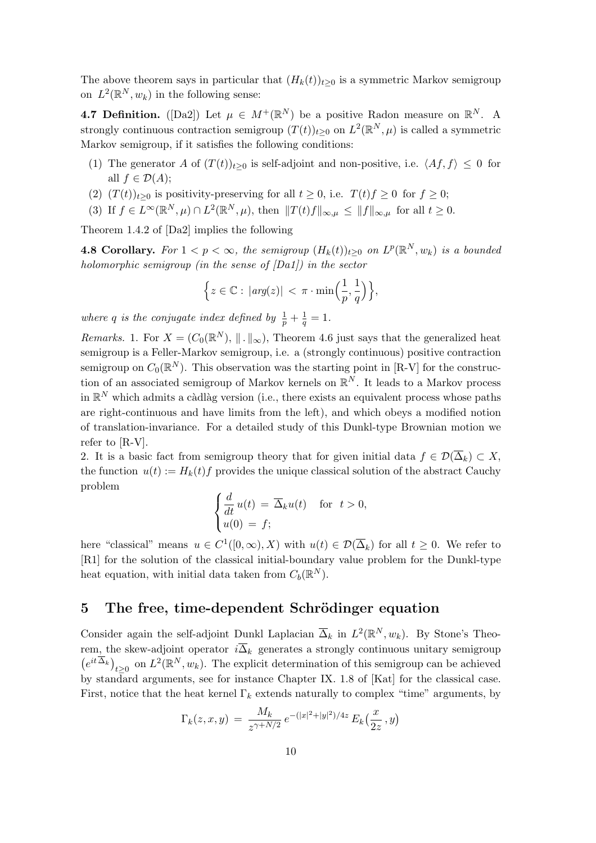The above theorem says in particular that  $(H_k(t))_{t>0}$  is a symmetric Markov semigroup on  $L^2(\mathbb{R}^N, w_k)$  in the following sense:

**4.7 Definition.** ([Da2]) Let  $\mu \in M^+(\mathbb{R}^N)$  be a positive Radon measure on  $\mathbb{R}^N$ . A strongly continuous contraction semigroup  $(T(t))_{t\geq0}$  on  $L^2(\mathbb{R}^N,\mu)$  is called a symmetric Markov semigroup, if it satisfies the following conditions:

- (1) The generator A of  $(T(t))_{t\geq0}$  is self-adjoint and non-positive, i.e.  $\langle Af, f \rangle \leq 0$  for all  $f \in \mathcal{D}(A)$ ;
- (2)  $(T(t))_{t>0}$  is positivity-preserving for all  $t \geq 0$ , i.e.  $T(t)f \geq 0$  for  $f \geq 0$ ;
- (3) If  $f \in L^{\infty}(\mathbb{R}^N, \mu) \cap L^2(\mathbb{R}^N, \mu)$ , then  $||T(t)f||_{\infty, \mu} \leq ||f||_{\infty, \mu}$  for all  $t \geq 0$ .

Theorem 1.4.2 of [Da2] implies the following

**4.8 Corollary.** For  $1 < p < \infty$ , the semigroup  $(H_k(t))_{t \geq 0}$  on  $L^p(\mathbb{R}^N, w_k)$  is a bounded holomorphic semigroup (in the sense of  $[Da1]$ ) in the sector

$$
\Big\{z\in\mathbb{C}:\,|arg(z)|<\pi\cdot\min\Big(\frac{1}{p},\frac{1}{q}\Big)\Big\},\,
$$

where q is the conjugate index defined by  $\frac{1}{p} + \frac{1}{q}$  $\frac{1}{q} = 1.$ 

*Remarks.* 1. For  $X = (C_0(\mathbb{R}^N), \| \cdot \|_{\infty})$ , Theorem 4.6 just says that the generalized heat semigroup is a Feller-Markov semigroup, i.e. a (strongly continuous) positive contraction semigroup on  $C_0(\mathbb{R}^N)$ . This observation was the starting point in [R-V] for the construction of an associated semigroup of Markov kernels on  $\mathbb{R}^N$ . It leads to a Markov process in  $\mathbb{R}^N$  which admits a càdlàg version (i.e., there exists an equivalent process whose paths are right-continuous and have limits from the left), and which obeys a modified notion of translation-invariance. For a detailed study of this Dunkl-type Brownian motion we refer to [R-V].

2. It is a basic fact from semigroup theory that for given initial data  $f \in \mathcal{D}(\overline{\Delta}_k) \subset X$ , the function  $u(t) := H_k(t) f$  provides the unique classical solution of the abstract Cauchy problem  $\overline{a}$ 

$$
\begin{cases}\n\frac{d}{dt}u(t) = \overline{\Delta}_k u(t) & \text{for } t > 0, \\
u(0) = f;\n\end{cases}
$$

here "classical" means  $u \in C^1([0,\infty),X)$  with  $u(t) \in \mathcal{D}(\overline{\Delta}_k)$  for all  $t \geq 0$ . We refer to [R1] for the solution of the classical initial-boundary value problem for the Dunkl-type heat equation, with initial data taken from  $C_b(\mathbb{R}^N)$ .

#### 5 The free, time-dependent Schrödinger equation

Consider again the self-adjoint Dunkl Laplacian  $\overline{\Delta}_k$  in  $L^2(\mathbb{R}^N, w_k)$ . By Stone's Theorem, the skew-adjoint operator  $i\overline{\Delta}_k$  generates a strongly continuous unitary semigroup  $e^{it\overline{\Delta}_k}\big)_{t\geq 0}$  on  $L^2(\mathbb{R}^N, w_k)$ . The explicit determination of this semigroup can be achieved by standard arguments, see for instance Chapter IX. 1.8 of [Kat] for the classical case. First, notice that the heat kernel  $\Gamma_k$  extends naturally to complex "time" arguments, by

$$
\Gamma_k(z, x, y) = \frac{M_k}{z^{\gamma + N/2}} e^{-(|x|^2 + |y|^2)/4z} E_k(\frac{x}{2z}, y)
$$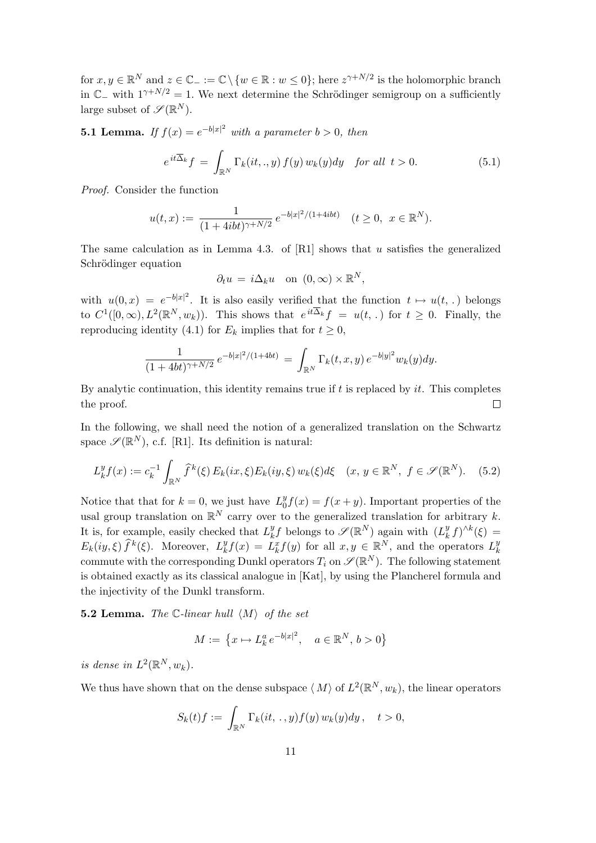for  $x, y \in \mathbb{R}^N$  and  $z \in \mathbb{C}_- := \mathbb{C} \setminus \{w \in \mathbb{R} : w \leq 0\}$ ; here  $z^{\gamma+N/2}$  is the holomorphic branch in  $\mathbb{C}_-$  with  $1^{\gamma+N/2} = 1$ . We next determine the Schrödinger semigroup on a sufficiently large subset of  $\mathscr{S}(\mathbb{R}^N)$ .

**5.1 Lemma.** If  $f(x) = e^{-b|x|^2}$  with a parameter  $b > 0$ , then

$$
e^{it\overline{\Delta}_k}f = \int_{\mathbb{R}^N} \Gamma_k(it,.,y) f(y) w_k(y) dy \quad \text{for all } t > 0.
$$
 (5.1)

Proof. Consider the function

$$
u(t,x) := \frac{1}{(1+4ibt)^{\gamma+N/2}} e^{-b|x|^2/(1+4ibt)} \quad (t \ge 0, \ x \in \mathbb{R}^N).
$$

The same calculation as in Lemma 4.3. of  $[R1]$  shows that u satisfies the generalized Schrödinger equation

$$
\partial_t u = i \Delta_k u \quad \text{on } (0, \infty) \times \mathbb{R}^N,
$$

with  $u(0, x) = e^{-b|x|^2}$ . It is also easily verified that the function  $t \mapsto u(t, \cdot)$  belongs to  $C^1([0,\infty), L^2(\mathbb{R}^N, w_k))$ . This shows that  $e^{it\overline{\Delta}_k}f = u(t,.)$  for  $t \geq 0$ . Finally, the reproducing identity (4.1) for  $E_k$  implies that for  $t \geq 0$ ,

$$
\frac{1}{(1+4bt)^{\gamma+N/2}} e^{-b|x|^2/(1+4bt)} = \int_{\mathbb{R}^N} \Gamma_k(t,x,y) e^{-b|y|^2} w_k(y) dy.
$$

By analytic continuation, this identity remains true if  $t$  is replaced by  $it$ . This completes the proof.  $\Box$ 

In the following, we shall need the notion of a generalized translation on the Schwartz space  $\mathscr{S}(\mathbb{R}^N)$ , c.f. [R1]. Its definition is natural:

$$
L_k^y f(x) := c_k^{-1} \int_{\mathbb{R}^N} \widehat{f}^k(\xi) E_k(ix, \xi) E_k(iy, \xi) w_k(\xi) d\xi \quad (x, y \in \mathbb{R}^N, f \in \mathcal{S}(\mathbb{R}^N). \tag{5.2}
$$

Notice that that for  $k = 0$ , we just have  $L_0^y$  $\partial_0^y f(x) = f(x+y)$ . Important properties of the usal group translation on  $\mathbb{R}^N$  carry over to the generalized translation for arbitrary k. It is, for example, easily checked that  $L_k^y$  ${}_{k}^{y}f$  belongs to  $\mathscr{S}(\mathbb{R}^{N})$  again with  $(L_{k}^{y})$  $(k \int h^{y} f)^{\wedge k}(\xi) =$  $E_k(iy,\xi) \hat{f}^k(\xi)$ . Moreover,  $L_k^y$  $\hat{L}_k^y f(x) = \tilde{L}_k^x f(y)$  for all  $x, y \in \mathbb{R}^N$ , and the operators  $L_k^y$ k commute with the corresponding Dunkl operators  $T_i$  on  $\mathscr{S}(\mathbb{R}^N)$ . The following statement is obtained exactly as its classical analogue in [Kat], by using the Plancherel formula and the injectivity of the Dunkl transform.

**5.2 Lemma.** The C-linear hull  $\langle M \rangle$  of the set

$$
M := \{ x \mapsto L_k^a e^{-b|x|^2}, \quad a \in \mathbb{R}^N, \, b > 0 \}
$$

is dense in  $L^2(\mathbb{R}^N, w_k)$ .

We thus have shown that on the dense subspace  $\langle M \rangle$  of  $L^2(\mathbb{R}^N, w_k)$ , the linear operators

$$
S_k(t)f := \int_{\mathbb{R}^N} \Gamma_k(it, \,.\,, y)f(y)\,w_k(y)dy\,, \quad t>0,
$$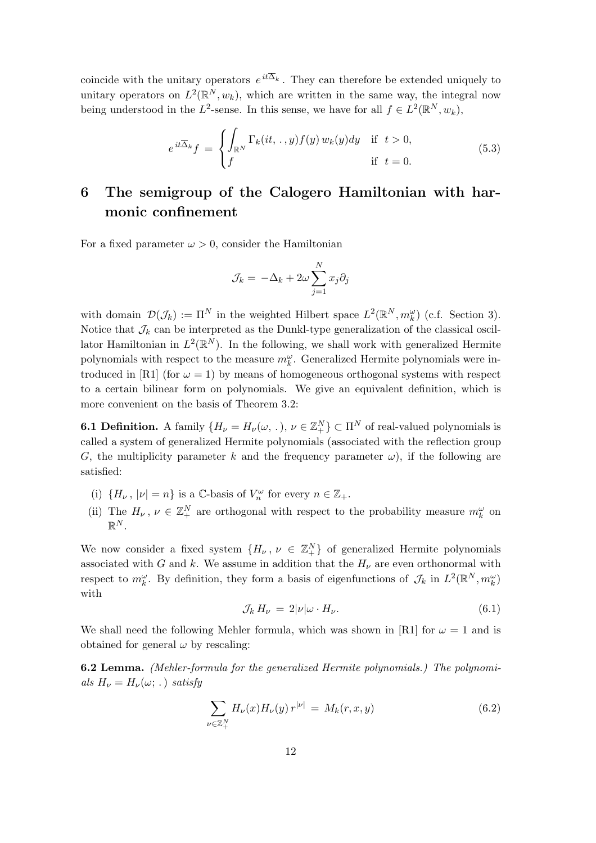coincide with the unitary operators  $e^{it\Delta_k}$ . They can therefore be extended uniquely to unitary operators on  $L^2(\mathbb{R}^N, w_k)$ , which are written in the same way, the integral now being understood in the L<sup>2</sup>-sense. In this sense, we have for all  $f \in L^2(\mathbb{R}^N, w_k)$ ,

$$
e^{it\overline{\Delta}_k}f = \begin{cases} \int_{\mathbb{R}^N} \Gamma_k(it, \, .\,, y) f(y) \, w_k(y) dy & \text{if } t > 0, \\ f & \text{if } t = 0. \end{cases} \tag{5.3}
$$

## 6 The semigroup of the Calogero Hamiltonian with harmonic confinement

For a fixed parameter  $\omega > 0$ , consider the Hamiltonian

$$
\mathcal{J}_k = -\Delta_k + 2\omega \sum_{j=1}^N x_j \partial_j
$$

with domain  $\mathcal{D}(\mathcal{J}_k) := \Pi^N$  in the weighted Hilbert space  $L^2(\mathbb{R}^N, m_k^{\omega})$  (c.f. Section 3). Notice that  $\mathcal{J}_k$  can be interpreted as the Dunkl-type generalization of the classical oscillator Hamiltonian in  $L^2(\mathbb{R}^N)$ . In the following, we shall work with generalized Hermite polynomials with respect to the measure  $m_k^{\omega}$ . Generalized Hermite polynomials were introduced in [R1] (for  $\omega = 1$ ) by means of homogeneous orthogonal systems with respect to a certain bilinear form on polynomials. We give an equivalent definition, which is more convenient on the basis of Theorem 3.2:

**6.1 Definition.** A family  $\{H_{\nu} = H_{\nu}(\omega, \cdot), \nu \in \mathbb{Z}_{+}^{N}\}\subset \Pi^{N}$  of real-valued polynomials is called a system of generalized Hermite polynomials (associated with the reflection group G, the multiplicity parameter k and the frequency parameter  $\omega$ ), if the following are satisfied:

- (i)  $\{H_{\nu}$ ,  $|\nu|=n\}$  is a  $\mathbb{C}$ -basis of  $V_n^{\omega}$  for every  $n \in \mathbb{Z}_+$ .
- (ii) The  $H_{\nu}$ ,  $\nu \in \mathbb{Z}_{+}^{N}$  are orthogonal with respect to the probability measure  $m_{k}^{\omega}$  on  $\mathbb{R}^N.$

We now consider a fixed system  $\{H_{\nu}, \nu \in \mathbb{Z}_{+}^{N}\}\$  of generalized Hermite polynomials associated with G and k. We assume in addition that the  $H_{\nu}$  are even orthonormal with respect to  $m_k^{\omega}$ . By definition, they form a basis of eigenfunctions of  $\mathcal{J}_k$  in  $L^2(\mathbb{R}^N, m_k^{\omega})$ with

$$
\mathcal{J}_k H_\nu = 2|\nu|\omega \cdot H_\nu. \tag{6.1}
$$

We shall need the following Mehler formula, which was shown in [R1] for  $\omega = 1$  and is obtained for general  $\omega$  by rescaling:

6.2 Lemma. (Mehler-formula for the generalized Hermite polynomials.) The polynomials  $H_{\nu} = H_{\nu}(\omega; .)$  satisfy

$$
\sum_{\nu \in \mathbb{Z}_+^N} H_{\nu}(x) H_{\nu}(y) r^{|\nu|} = M_k(r, x, y)
$$
\n(6.2)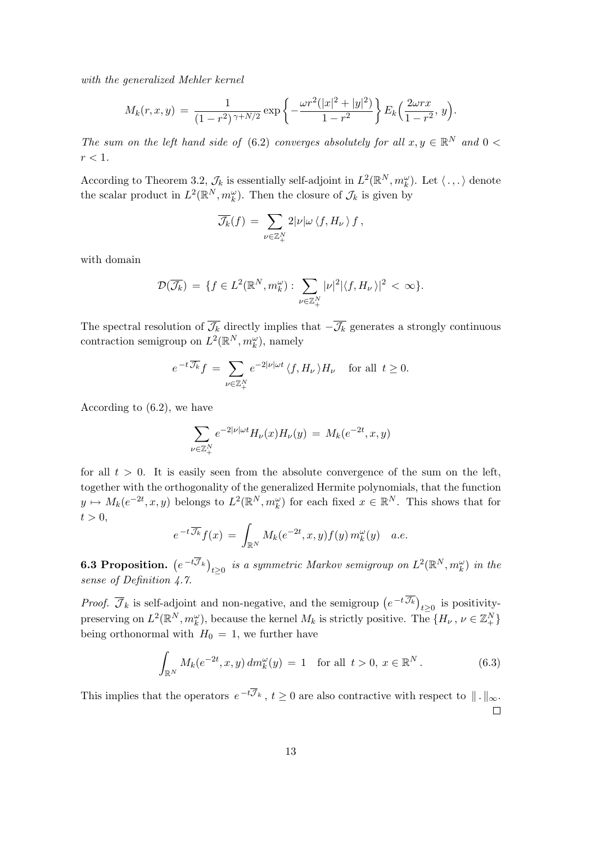with the generalized Mehler kernel

$$
M_k(r, x, y) = \frac{1}{(1 - r^2)^{\gamma + N/2}} \exp \left\{-\frac{\omega r^2 (|x|^2 + |y|^2)}{1 - r^2}\right\} E_k\left(\frac{2\omega r x}{1 - r^2}, y\right).
$$

The sum on the left hand side of (6.2) converges absolutely for all  $x, y \in \mathbb{R}^N$  and  $0 <$  $r < 1$ .

According to Theorem 3.2,  $\mathcal{J}_k$  is essentially self-adjoint in  $L^2(\mathbb{R}^N, m_k^{\omega})$ . Let  $\langle ., .\rangle$  denote the scalar product in  $L^2(\mathbb{R}^N, m_k^{\omega})$ . Then the closure of  $\mathcal{J}_k$  is given by

$$
\overline{\mathcal{J}_k}(f) \,=\, \sum_{\nu \in \mathbb{Z}_+^N} 2|\nu| \omega \, \langle f, H_\nu \,\rangle \, f\,,
$$

with domain

$$
\mathcal{D}(\overline{\mathcal{J}_k}) = \{ f \in L^2(\mathbb{R}^N, m_k^{\omega}) : \sum_{\nu \in \mathbb{Z}_+^N} |\nu|^2 |\langle f, H_{\nu} \rangle|^2 < \infty \}.
$$

The spectral resolution of  $\overline{\mathcal{J}_k}$  directly implies that  $-\overline{\mathcal{J}_k}$  generates a strongly continuous contraction semigroup on  $L^2(\mathbb{R}^N, m_k^{\omega})$ , namely

$$
e^{-t\overline{\mathcal{J}_k}}f = \sum_{\nu \in \mathbb{Z}_+^N} e^{-2|\nu| \omega t} \langle f, H_{\nu} \rangle H_{\nu} \quad \text{for all } t \ge 0.
$$

According to (6.2), we have

$$
\sum_{\nu \in \mathbb{Z}_+^N} e^{-2|\nu| \omega t} H_{\nu}(x) H_{\nu}(y) = M_k(e^{-2t}, x, y)
$$

for all  $t > 0$ . It is easily seen from the absolute convergence of the sum on the left, together with the orthogonality of the generalized Hermite polynomials, that the function  $y \mapsto M_k(e^{-2t}, x, y)$  belongs to  $L^2(\mathbb{R}^N, m_k^{\omega})$  for each fixed  $x \in \mathbb{R}^N$ . This shows that for  $t > 0$ ,

$$
e^{-t\overline{\mathcal{J}_k}}f(x) = \int_{\mathbb{R}^N} M_k(e^{-2t}, x, y) f(y) m_k^{\omega}(y) \quad a.e.
$$

6.3 Proposition.  $(e^{-t\overline{\mathcal{J}}_k})$  $_{t\geq 0}$  is a symmetric Markov semigroup on  $L^2({\mathbb R}^N, m_k^\omega)$  in the sense of Definition 4.7.

*Proof.*  $\overline{\mathcal{J}}_k$  is self-adjoint and non-negative, and the semigroup  $(e^{-t\overline{\mathcal{J}_k}})$  $t \geq 0$  is positivitypreserving on  $L^2(\mathbb{R}^N, m_k^{\omega})$ , because the kernel  $M_k$  is strictly positive. The  $\{H_{\nu}, \nu \in \mathbb{Z}_{+}^N\}$ being orthonormal with  $H_0 = 1$ , we further have

$$
\int_{\mathbb{R}^N} M_k(e^{-2t}, x, y) \, dm_k^{\omega}(y) = 1 \quad \text{for all } t > 0, x \in \mathbb{R}^N. \tag{6.3}
$$

This implies that the operators  $e^{-t\overline{\mathcal{J}}_k}$ ,  $t \geq 0$  are also contractive with respect to  $\|\cdot\|_{\infty}$ .  $\Box$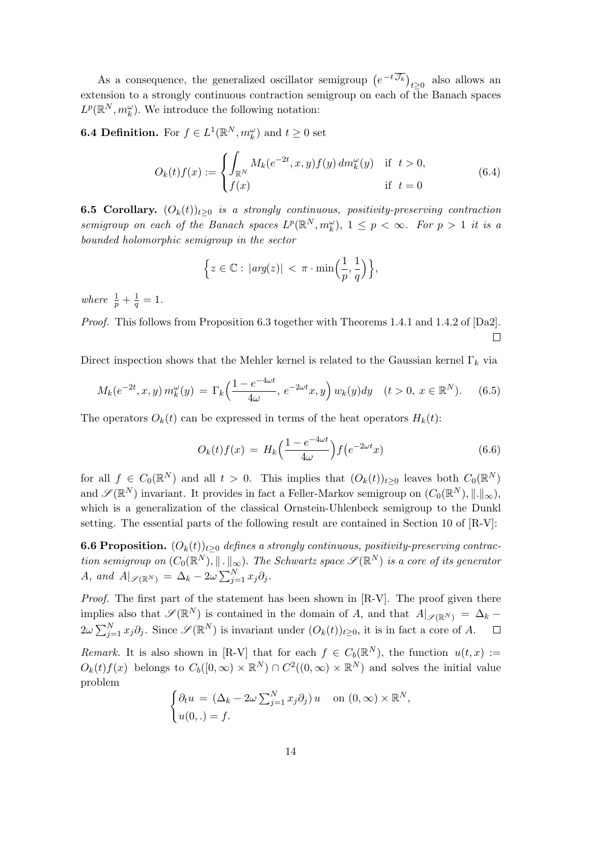As a consequence, the generalized oscillator semigroup  $(e^{-t\overline{\mathcal{J}_k}})$  $t \geq 0$  also allows an extension to a strongly continuous contraction semigroup on each of the Banach spaces  $L^p(\mathbb{R}^N, m_k^{\omega})$ . We introduce the following notation:

**6.4 Definition.** For  $f \in L^1(\mathbb{R}^N, m_k^{\omega})$  and  $t \geq 0$  set

$$
O_k(t)f(x) := \begin{cases} \int_{\mathbb{R}^N} M_k(e^{-2t}, x, y) f(y) \, dm_k^{\omega}(y) & \text{if } t > 0, \\ f(x) & \text{if } t = 0 \end{cases}
$$
(6.4)

**6.5 Corollary.**  $(O_k(t))_{t\geq 0}$  is a strongly continuous, positivity-preserving contraction semigroup on each of the Banach spaces  $L^p(\mathbb{R}^N, m_k^{\omega})$ ,  $1 \leq p < \infty$ . For  $p > 1$  it is a bounded holomorphic semigroup in the sector

$$
\Big\{z\in\mathbb{C}:\,|arg(z)|\,<\,\pi\cdot\min\Big(\frac{1}{p},\frac{1}{q}\Big)\Big\},
$$

where  $\frac{1}{p} + \frac{1}{q}$  $\frac{1}{q} = 1.$ 

Proof. This follows from Proposition 6.3 together with Theorems 1.4.1 and 1.4.2 of [Da2].  $\Box$ 

Direct inspection shows that the Mehler kernel is related to the Gaussian kernel  $\Gamma_k$  via

$$
M_k(e^{-2t}, x, y) m_k^{\omega}(y) = \Gamma_k\left(\frac{1 - e^{-4\omega t}}{4\omega}, e^{-2\omega t}x, y\right) w_k(y) dy \quad (t > 0, x \in \mathbb{R}^N). \tag{6.5}
$$

The operators  $O_k(t)$  can be expressed in terms of the heat operators  $H_k(t)$ :

$$
O_k(t)f(x) = H_k\left(\frac{1 - e^{-4\omega t}}{4\omega}\right) f\left(e^{-2\omega t}x\right) \tag{6.6}
$$

for all  $f \in C_0(\mathbb{R}^N)$  and all  $t > 0$ . This implies that  $(O_k(t))_{t \geq 0}$  leaves both  $C_0(\mathbb{R}^N)$ and  $\mathscr{S}(\mathbb{R}^N)$  invariant. It provides in fact a Feller-Markov semigroup on  $(C_0(\mathbb{R}^N),\|\cdot\|_{\infty})$ , which is a generalization of the classical Ornstein-Uhlenbeck semigroup to the Dunkl setting. The essential parts of the following result are contained in Section 10 of [R-V]:

**6.6 Proposition.**  $(O_k(t))_{t>0}$  defines a strongly continuous, positivity-preserving contraction semigroup on  $(C_0(\mathbb{R}^N),\|\cdot\|_{\infty})$ . The Schwartz space  $\mathscr{S}(\mathbb{R}^N)$  is a core of its generator A, and  $A|_{\mathscr{S}(\mathbb{R}^N)} = \Delta_k - 2\omega \sum_{j=1}^N$  $\sum_{j=1}^N x_j \partial_j$ .

Proof. The first part of the statement has been shown in [R-V]. The proof given there implies also that  $\mathscr{S}(\mathbb{R}^N)$  is contained in the domain of A, and that  $A|_{\mathscr{S}(\mathbb{R}^N)} = \Delta_k 2\omega\sum_{i=1}^{N}$  $\int_{j=1}^N x_j \partial_j$ . Since  $\mathscr{S}(\mathbb{R}^N)$  is invariant under  $(O_k(t))_{t\geq 0}$ , it is in fact a core of A.  $\Box$ 

Remark. It is also shown in [R-V] that for each  $f \in C_b(\mathbb{R}^N)$ , the function  $u(t,x) :=$  $O_k(t) f(x)$  belongs to  $C_b([0,\infty) \times \mathbb{R}^N) \cap C^2((0,\infty) \times \mathbb{R}^N)$  and solves the initial value problem  $\overline{a}$ 

$$
\begin{cases} \partial_t u = (\Delta_k - 2\omega \sum_{j=1}^N x_j \partial_j) u & \text{on } (0, \infty) \times \mathbb{R}^N, \\ u(0,.) = f. \end{cases}
$$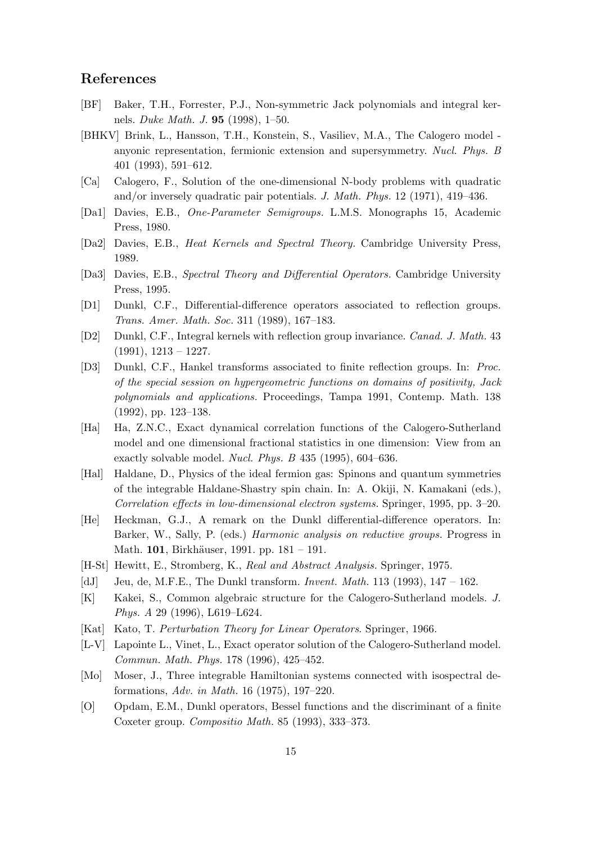#### References

- [BF] Baker, T.H., Forrester, P.J., Non-symmetric Jack polynomials and integral kernels. Duke Math. J. 95 (1998), 1–50.
- [BHKV] Brink, L., Hansson, T.H., Konstein, S., Vasiliev, M.A., The Calogero model anyonic representation, fermionic extension and supersymmetry. Nucl. Phys. B 401 (1993), 591–612.
- [Ca] Calogero, F., Solution of the one-dimensional N-body problems with quadratic and/or inversely quadratic pair potentials. J. Math. Phys. 12 (1971), 419–436.
- [Da1] Davies, E.B., One-Parameter Semigroups. L.M.S. Monographs 15, Academic Press, 1980.
- [Da2] Davies, E.B., Heat Kernels and Spectral Theory. Cambridge University Press, 1989.
- [Da3] Davies, E.B., Spectral Theory and Differential Operators. Cambridge University Press, 1995.
- [D1] Dunkl, C.F., Differential-difference operators associated to reflection groups. Trans. Amer. Math. Soc. 311 (1989), 167–183.
- [D2] Dunkl, C.F., Integral kernels with reflection group invariance. Canad. J. Math. 43  $(1991), 1213 - 1227.$
- [D3] Dunkl, C.F., Hankel transforms associated to finite reflection groups. In: Proc. of the special session on hypergeometric functions on domains of positivity, Jack polynomials and applications. Proceedings, Tampa 1991, Contemp. Math. 138 (1992), pp. 123–138.
- [Ha] Ha, Z.N.C., Exact dynamical correlation functions of the Calogero-Sutherland model and one dimensional fractional statistics in one dimension: View from an exactly solvable model. Nucl. Phys. B 435 (1995), 604–636.
- [Hal] Haldane, D., Physics of the ideal fermion gas: Spinons and quantum symmetries of the integrable Haldane-Shastry spin chain. In: A. Okiji, N. Kamakani (eds.), Correlation effects in low-dimensional electron systems. Springer, 1995, pp. 3–20.
- [He] Heckman, G.J., A remark on the Dunkl differential-difference operators. In: Barker, W., Sally, P. (eds.) Harmonic analysis on reductive groups. Progress in Math. 101, Birkhäuser, 1991. pp. 181 – 191.
- [H-St] Hewitt, E., Stromberg, K., Real and Abstract Analysis. Springer, 1975.
- [dJ] Jeu, de, M.F.E., The Dunkl transform. Invent. Math. 113 (1993),  $147 162$ .
- [K] Kakei, S., Common algebraic structure for the Calogero-Sutherland models. J. Phys. A 29 (1996), L619–L624.
- [Kat] Kato, T. Perturbation Theory for Linear Operators. Springer, 1966.
- [L-V] Lapointe L., Vinet, L., Exact operator solution of the Calogero-Sutherland model. Commun. Math. Phys. 178 (1996), 425–452.
- [Mo] Moser, J., Three integrable Hamiltonian systems connected with isospectral deformations, Adv. in Math. 16 (1975), 197–220.
- [O] Opdam, E.M., Dunkl operators, Bessel functions and the discriminant of a finite Coxeter group. Compositio Math. 85 (1993), 333–373.